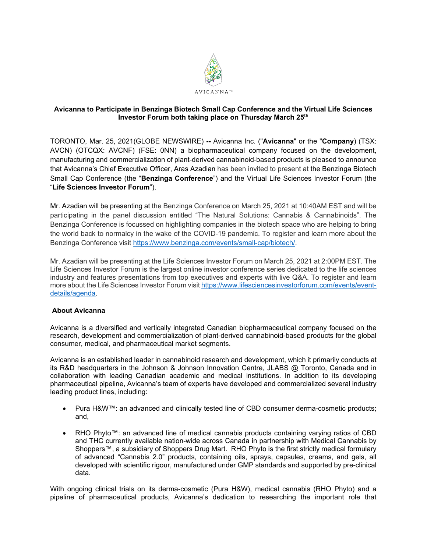

## **Avicanna to Participate in Benzinga Biotech Small Cap Conference and the Virtual Life Sciences Investor Forum both taking place on Thursday March 25th**

TORONTO, Mar. 25, 2021(GLOBE NEWSWIRE) **--** Avicanna Inc. ("**Avicanna**" or the "**Company**) (TSX: AVCN) (OTCQX: AVCNF) (FSE: 0NN) a biopharmaceutical company focused on the development, manufacturing and commercialization of plant-derived cannabinoid-based products is pleased to announce that Avicanna's Chief Executive Officer, Aras Azadian has been invited to present at the Benzinga Biotech Small Cap Conference (the "**Benzinga Conference**") and the Virtual Life Sciences Investor Forum (the "**Life Sciences Investor Forum**").

Mr. Azadian will be presenting at the Benzinga Conference on March 25, 2021 at 10:40AM EST and will be participating in the panel discussion entitled "The Natural Solutions: Cannabis & Cannabinoids". The Benzinga Conference is focussed on highlighting companies in the biotech space who are helping to bring the world back to normalcy in the wake of the COVID-19 pandemic. To register and learn more about the Benzinga Conference visit [https://www.benzinga.com/events/small-cap/biotech/.](https://www.benzinga.com/events/small-cap/biotech/)

Mr. Azadian will be presenting at the Life Sciences Investor Forum on March 25, 2021 at 2:00PM EST. The Life Sciences Investor Forum is the largest online investor conference series dedicated to the life sciences industry and features presentations from top executives and experts with live Q&A. To register and learn more about the Life Sciences Investor Forum visit [https://www.lifesciencesinvestorforum.com/events/event](https://www.lifesciencesinvestorforum.com/events/event-details/agenda)[details/agenda.](https://www.lifesciencesinvestorforum.com/events/event-details/agenda)

## **About Avicanna**

Avicanna is a diversified and vertically integrated Canadian biopharmaceutical company focused on the research, development and commercialization of plant-derived cannabinoid-based products for the global consumer, medical, and pharmaceutical market segments.

Avicanna is an established leader in cannabinoid research and development, which it primarily conducts at its R&D headquarters in the Johnson & Johnson Innovation Centre, JLABS @ Toronto, Canada and in collaboration with leading Canadian academic and medical institutions. In addition to its developing pharmaceutical pipeline, Avicanna's team of experts have developed and commercialized several industry leading product lines, including:

- Pura H&W™: an advanced and clinically tested line of CBD consumer derma-cosmetic products; and,
- RHO Phyto™: an advanced line of medical cannabis products containing varying ratios of CBD and THC currently available nation-wide across Canada in partnership with Medical Cannabis by Shoppers™, a subsidiary of Shoppers Drug Mart. RHO Phyto is the first strictly medical formulary of advanced "Cannabis 2.0" products, containing oils, sprays, capsules, creams, and gels, all developed with scientific rigour, manufactured under GMP standards and supported by pre-clinical data.

With ongoing clinical trials on its derma-cosmetic (Pura H&W), medical cannabis (RHO Phyto) and a pipeline of pharmaceutical products, Avicanna's dedication to researching the important role that